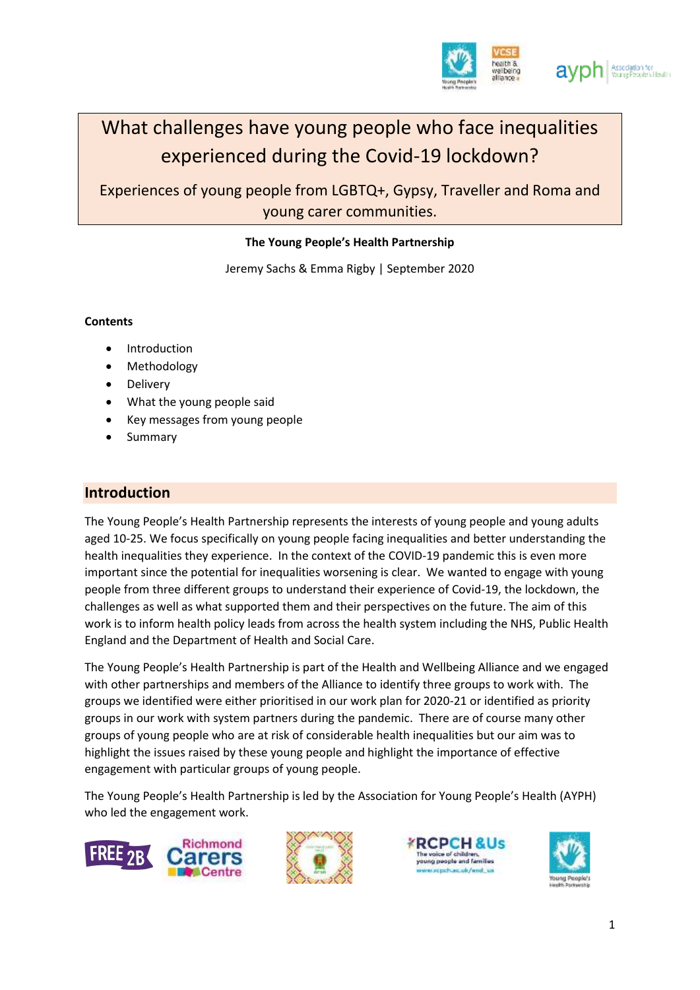

# What challenges have young people who face inequalities experienced during the Covid-19 lockdown?

Experiences of young people from LGBTQ+, Gypsy, Traveller and Roma and young carer communities.

### **The Young People's Health Partnership**

Jeremy Sachs & Emma Rigby | September 2020

#### **Contents**

- Introduction
- Methodology
- Delivery
- What the young people said
- Key messages from young people
- Summary

## **Introduction**

The Young People's Health Partnership represents the interests of young people and young adults aged 10-25. We focus specifically on young people facing inequalities and better understanding the health inequalities they experience. In the context of the COVID-19 pandemic this is even more important since the potential for inequalities worsening is clear. We wanted to engage with young people from three different groups to understand their experience of Covid-19, the lockdown, the challenges as well as what supported them and their perspectives on the future. The aim of this work is to inform health policy leads from across the health system including the NHS, Public Health England and the Department of Health and Social Care.

The Young People's Health Partnership is part of the Health and Wellbeing Alliance and we engaged with other partnerships and members of the Alliance to identify three groups to work with. The groups we identified were either prioritised in our work plan for 2020-21 or identified as priority groups in our work with system partners during the pandemic. There are of course many other groups of young people who are at risk of considerable health inequalities but our aim was to highlight the issues raised by these young people and highlight the importance of effective engagement with particular groups of young people.

The Young People's Health Partnership is led by the Association for Young People's Health (AYPH) who led the engagement work.







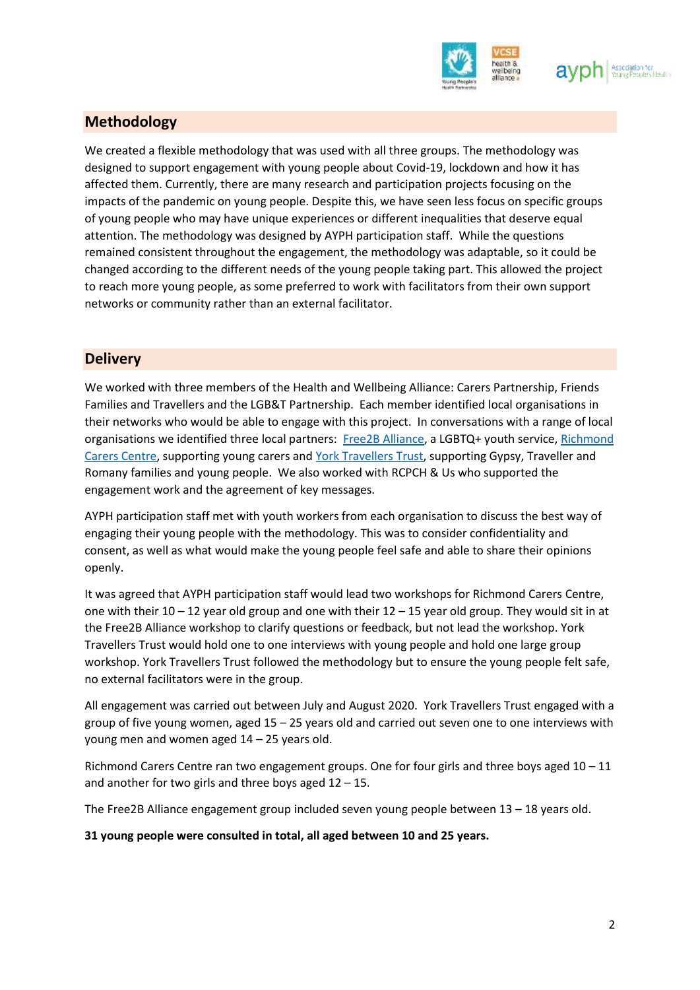

## **Methodology**

We created a flexible methodology that was used with all three groups. The methodology was designed to support engagement with young people about Covid-19, lockdown and how it has affected them. Currently, there are many research and participation projects focusing on the impacts of the pandemic on young people. Despite this, we have seen less focus on specific groups of young people who may have unique experiences or different inequalities that deserve equal attention. The methodology was designed by AYPH participation staff. While the questions remained consistent throughout the engagement, the methodology was adaptable, so it could be changed according to the different needs of the young people taking part. This allowed the project to reach more young people, as some preferred to work with facilitators from their own support networks or community rather than an external facilitator.

## **Delivery**

We worked with three members of the Health and Wellbeing Alliance: Carers Partnership, Friends Families and Travellers and the LGB&T Partnership. Each member identified local organisations in their networks who would be able to engage with this project. In conversations with a range of local organisations we identified three local partners: Free2B [Alliance,](about:blank) a LGBTQ+ youth service, Richmond [Carers](about:blank) Centre, supporting young carers an[d York Travellers](about:blank) Trust, supporting Gypsy, Traveller and Romany families and young people. We also worked with RCPCH & Us who supported the engagement work and the agreement of key messages.

AYPH participation staff met with youth workers from each organisation to discuss the best way of engaging their young people with the methodology. This was to consider confidentiality and consent, as well as what would make the young people feel safe and able to share their opinions openly.

It was agreed that AYPH participation staff would lead two workshops for Richmond Carers Centre, one with their  $10 - 12$  year old group and one with their  $12 - 15$  year old group. They would sit in at the Free2B Alliance workshop to clarify questions or feedback, but not lead the workshop. York Travellers Trust would hold one to one interviews with young people and hold one large group workshop. York Travellers Trust followed the methodology but to ensure the young people felt safe, no external facilitators were in the group.

All engagement was carried out between July and August 2020. York Travellers Trust engaged with a group of five young women, aged  $15 - 25$  years old and carried out seven one to one interviews with young men and women aged 14 – 25 years old.

Richmond Carers Centre ran two engagement groups. One for four girls and three boys aged 10 – 11 and another for two girls and three boys aged  $12 - 15$ .

The Free2B Alliance engagement group included seven young people between 13 – 18 years old.

**31 young people were consulted in total, all aged between 10 and 25 years.**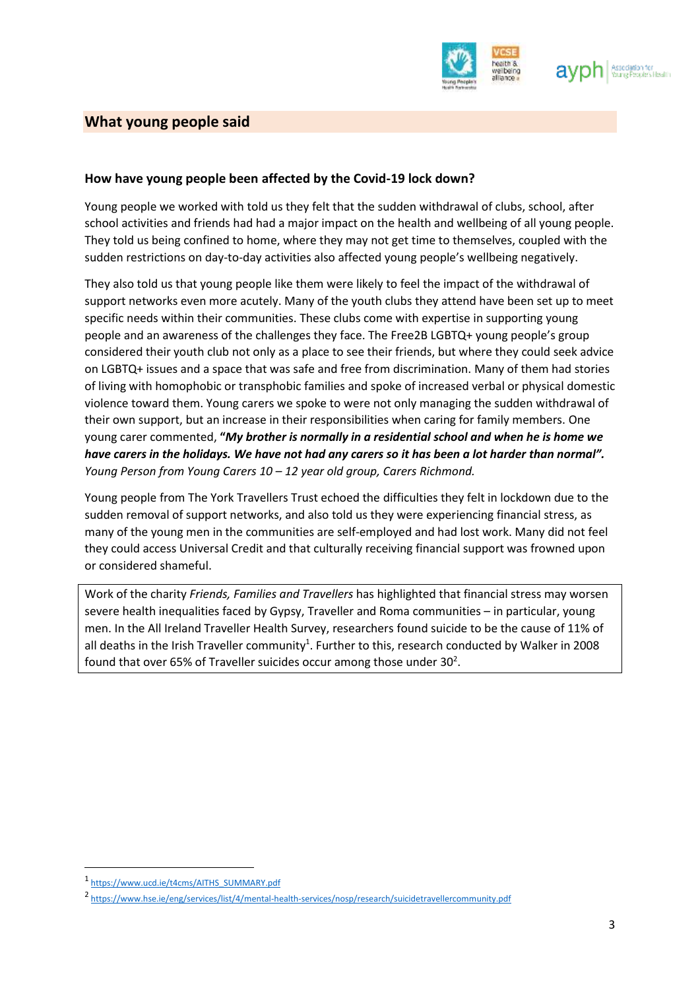

## **What young people said**

#### **How have young people been affected by the Covid-19 lock down?**

Young people we worked with told us they felt that the sudden withdrawal of clubs, school, after school activities and friends had had a major impact on the health and wellbeing of all young people. They told us being confined to home, where they may not get time to themselves, coupled with the sudden restrictions on day-to-day activities also affected young people's wellbeing negatively.

They also told us that young people like them were likely to feel the impact of the withdrawal of support networks even more acutely. Many of the youth clubs they attend have been set up to meet specific needs within their communities. These clubs come with expertise in supporting young people and an awareness of the challenges they face. The Free2B LGBTQ+ young people's group considered their youth club not only as a place to see their friends, but where they could seek advice on LGBTQ+ issues and a space that was safe and free from discrimination. Many of them had stories of living with homophobic or transphobic families and spoke of increased verbal or physical domestic violence toward them. Young carers we spoke to were not only managing the sudden withdrawal of their own support, but an increase in their responsibilities when caring for family members. One young carer commented, **"***My brother is normally in a residential school and when he is home we have carers in the holidays. We have not had any carers so it has been a lot harder than normal". Young Person from Young Carers 10 – 12 year old group, Carers Richmond.*

Young people from The York Travellers Trust echoed the difficulties they felt in lockdown due to the sudden removal of support networks, and also told us they were experiencing financial stress, as many of the young men in the communities are self-employed and had lost work. Many did not feel they could access Universal Credit and that culturally receiving financial support was frowned upon or considered shameful.

Work of the charity *Friends, Families and Travellers* has highlighted that financial stress may worsen severe health inequalities faced by Gypsy, Traveller and Roma communities – in particular, young men. In the All Ireland Traveller Health Survey, researchers found suicide to be the cause of 11% of all deaths in the Irish Traveller community<sup>1</sup>. Further to this, research conducted by Walker in 2008 found that over 65% of Traveller suicides occur among those under  $30<sup>2</sup>$ .

**.** 

<sup>1</sup> [https://www.ucd.ie/t4cms/AITHS\\_SUMMARY.pdf](https://www.ucd.ie/t4cms/AITHS_SUMMARY.pdf)

<sup>&</sup>lt;sup>2</sup> <https://www.hse.ie/eng/services/list/4/mental-health-services/nosp/research/suicidetravellercommunity.pdf>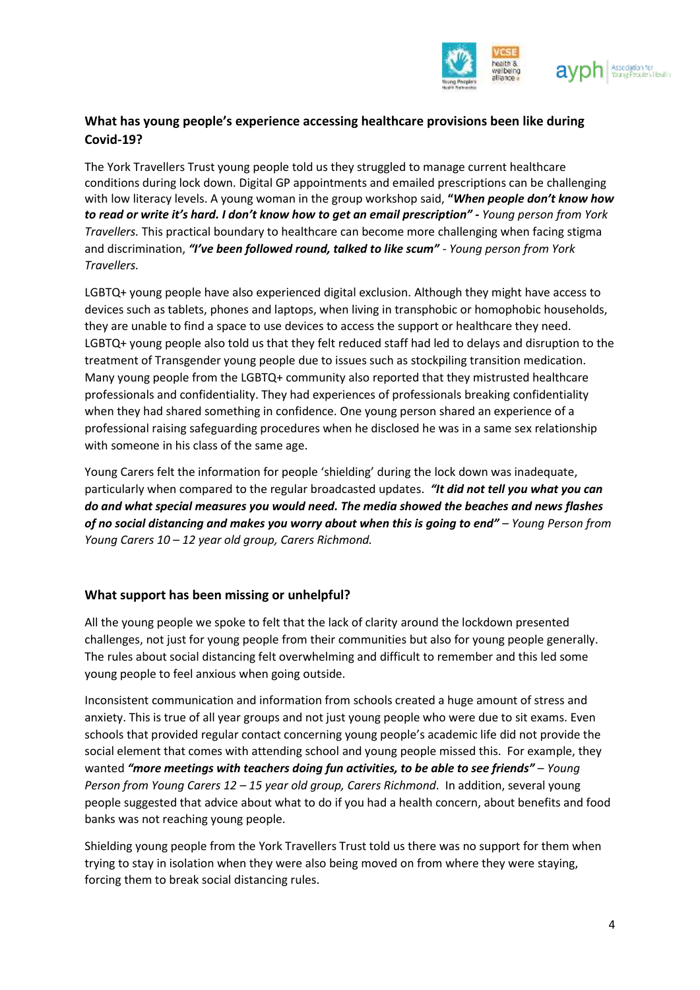

## **What has young people's experience accessing healthcare provisions been like during Covid-19?**

The York Travellers Trust young people told us they struggled to manage current healthcare conditions during lock down. Digital GP appointments and emailed prescriptions can be challenging with low literacy levels. A young woman in the group workshop said, **"***When people don't know how to read or write it's hard. I don't know how to get an email prescription" - Young person from York Travellers.* This practical boundary to healthcare can become more challenging when facing stigma and discrimination, *"I've been followed round, talked to like scum"* - *Young person from York Travellers.*

LGBTQ+ young people have also experienced digital exclusion. Although they might have access to devices such as tablets, phones and laptops, when living in transphobic or homophobic households, they are unable to find a space to use devices to access the support or healthcare they need. LGBTQ+ young people also told us that they felt reduced staff had led to delays and disruption to the treatment of Transgender young people due to issues such as stockpiling transition medication. Many young people from the LGBTQ+ community also reported that they mistrusted healthcare professionals and confidentiality. They had experiences of professionals breaking confidentiality when they had shared something in confidence. One young person shared an experience of a professional raising safeguarding procedures when he disclosed he was in a same sex relationship with someone in his class of the same age.

Young Carers felt the information for people 'shielding' during the lock down was inadequate, particularly when compared to the regular broadcasted updates. *"It did not tell you what you can do and what special measures you would need. The media showed the beaches and news flashes of no social distancing and makes you worry about when this is going to end"* – *Young Person from Young Carers 10 – 12 year old group, Carers Richmond.*

#### **What support has been missing or unhelpful?**

All the young people we spoke to felt that the lack of clarity around the lockdown presented challenges, not just for young people from their communities but also for young people generally. The rules about social distancing felt overwhelming and difficult to remember and this led some young people to feel anxious when going outside.

Inconsistent communication and information from schools created a huge amount of stress and anxiety. This is true of all year groups and not just young people who were due to sit exams. Even schools that provided regular contact concerning young people's academic life did not provide the social element that comes with attending school and young people missed this. For example, they wanted "more meetings with teachers doing fun activities, to be able to see friends" - Young *Person from Young Carers 12 – 15 year old group, Carers Richmond*. In addition, several young people suggested that advice about what to do if you had a health concern, about benefits and food banks was not reaching young people.

Shielding young people from the York Travellers Trust told us there was no support for them when trying to stay in isolation when they were also being moved on from where they were staying, forcing them to break social distancing rules.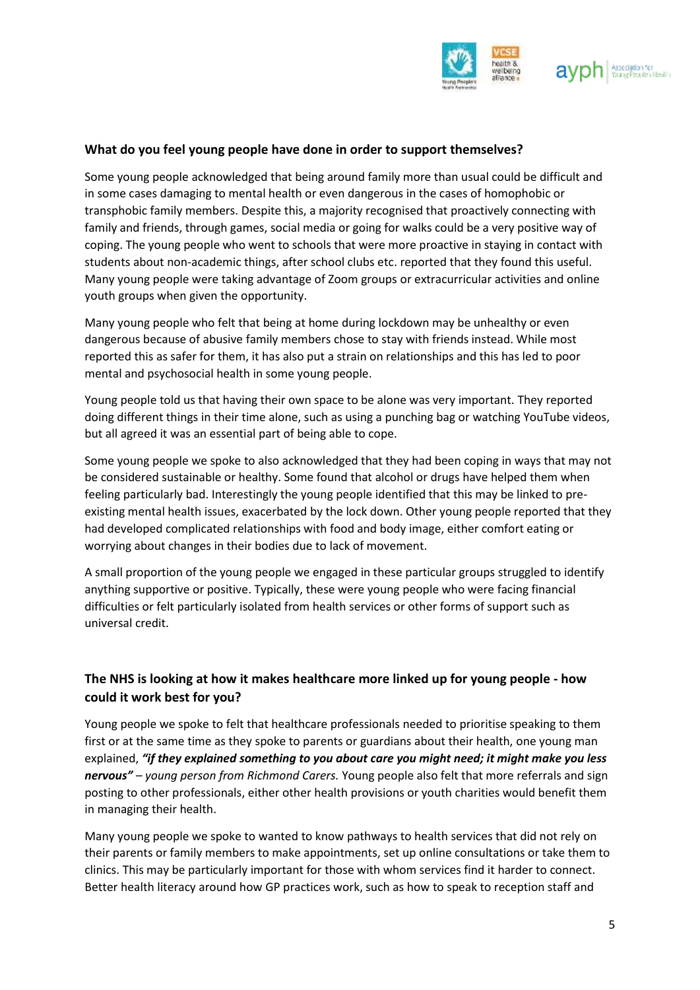

#### **What do you feel young people have done in order to support themselves?**

Some young people acknowledged that being around family more than usual could be difficult and in some cases damaging to mental health or even dangerous in the cases of homophobic or transphobic family members. Despite this, a majority recognised that proactively connecting with family and friends, through games, social media or going for walks could be a very positive way of coping. The young people who went to schools that were more proactive in staying in contact with students about non-academic things, after school clubs etc. reported that they found this useful. Many young people were taking advantage of Zoom groups or extracurricular activities and online youth groups when given the opportunity.

Many young people who felt that being at home during lockdown may be unhealthy or even dangerous because of abusive family members chose to stay with friends instead. While most reported this as safer for them, it has also put a strain on relationships and this has led to poor mental and psychosocial health in some young people.

Young people told us that having their own space to be alone was very important. They reported doing different things in their time alone, such as using a punching bag or watching YouTube videos, but all agreed it was an essential part of being able to cope.

Some young people we spoke to also acknowledged that they had been coping in ways that may not be considered sustainable or healthy. Some found that alcohol or drugs have helped them when feeling particularly bad. Interestingly the young people identified that this may be linked to preexisting mental health issues, exacerbated by the lock down. Other young people reported that they had developed complicated relationships with food and body image, either comfort eating or worrying about changes in their bodies due to lack of movement.

A small proportion of the young people we engaged in these particular groups struggled to identify anything supportive or positive. Typically, these were young people who were facing financial difficulties or felt particularly isolated from health services or other forms of support such as universal credit.

## **The NHS is looking at how it makes healthcare more linked up for young people - how could it work best for you?**

Young people we spoke to felt that healthcare professionals needed to prioritise speaking to them first or at the same time as they spoke to parents or guardians about their health, one young man explained, *"if they explained something to you about care you might need; it might make you less nervous" – young person from Richmond Carers.* Young people also felt that more referrals and sign posting to other professionals, either other health provisions or youth charities would benefit them in managing their health.

Many young people we spoke to wanted to know pathways to health services that did not rely on their parents or family members to make appointments, set up online consultations or take them to clinics. This may be particularly important for those with whom services find it harder to connect. Better health literacy around how GP practices work, such as how to speak to reception staff and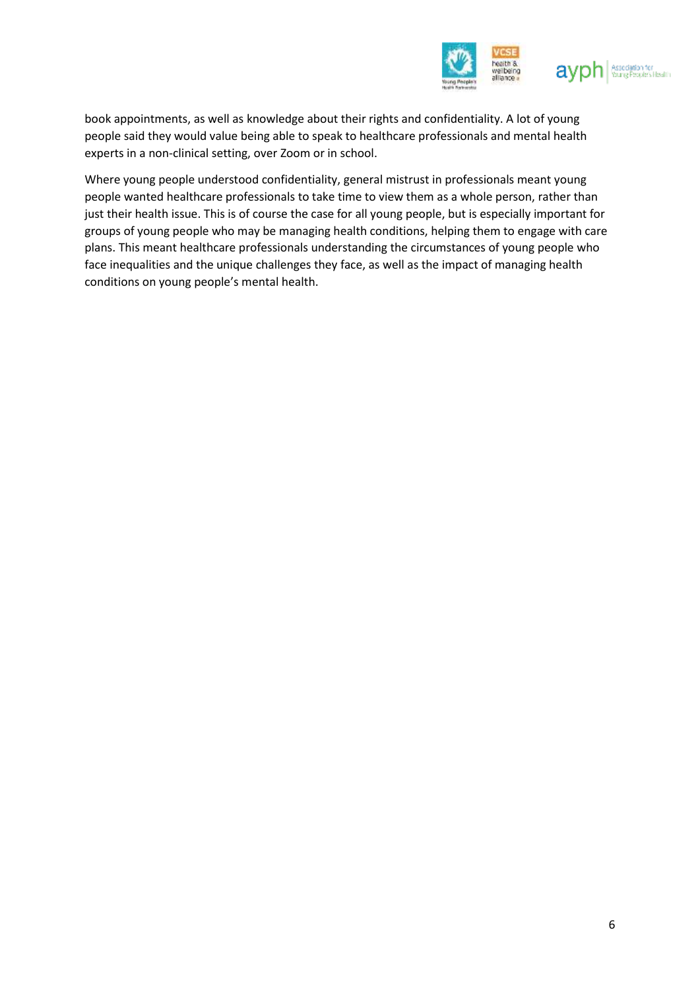



book appointments, as well as knowledge about their rights and confidentiality. A lot of young people said they would value being able to speak to healthcare professionals and mental health experts in a non-clinical setting, over Zoom or in school.

Where young people understood confidentiality, general mistrust in professionals meant young people wanted healthcare professionals to take time to view them as a whole person, rather than just their health issue. This is of course the case for all young people, but is especially important for groups of young people who may be managing health conditions, helping them to engage with care plans. This meant healthcare professionals understanding the circumstances of young people who face inequalities and the unique challenges they face, as well as the impact of managing health conditions on young people's mental health.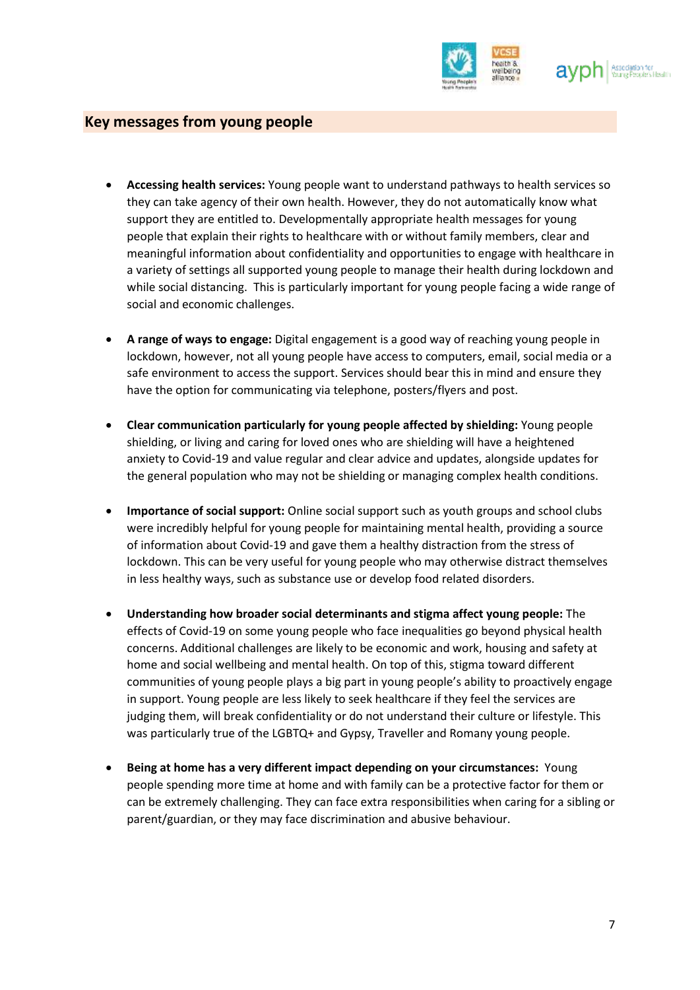

### **Key messages from young people**

- **Accessing health services:** Young people want to understand pathways to health services so they can take agency of their own health. However, they do not automatically know what support they are entitled to. Developmentally appropriate health messages for young people that explain their rights to healthcare with or without family members, clear and meaningful information about confidentiality and opportunities to engage with healthcare in a variety of settings all supported young people to manage their health during lockdown and while social distancing. This is particularly important for young people facing a wide range of social and economic challenges.
- **A range of ways to engage:** Digital engagement is a good way of reaching young people in lockdown, however, not all young people have access to computers, email, social media or a safe environment to access the support. Services should bear this in mind and ensure they have the option for communicating via telephone, posters/flyers and post.
- **Clear communication particularly for young people affected by shielding:** Young people shielding, or living and caring for loved ones who are shielding will have a heightened anxiety to Covid-19 and value regular and clear advice and updates, alongside updates for the general population who may not be shielding or managing complex health conditions.
- **Importance of social support:** Online social support such as youth groups and school clubs were incredibly helpful for young people for maintaining mental health, providing a source of information about Covid-19 and gave them a healthy distraction from the stress of lockdown. This can be very useful for young people who may otherwise distract themselves in less healthy ways, such as substance use or develop food related disorders.
- **Understanding how broader social determinants and stigma affect young people:** The effects of Covid-19 on some young people who face inequalities go beyond physical health concerns. Additional challenges are likely to be economic and work, housing and safety at home and social wellbeing and mental health. On top of this, stigma toward different communities of young people plays a big part in young people's ability to proactively engage in support. Young people are less likely to seek healthcare if they feel the services are judging them, will break confidentiality or do not understand their culture or lifestyle. This was particularly true of the LGBTQ+ and Gypsy, Traveller and Romany young people.
- **Being at home has a very different impact depending on your circumstances:** Young people spending more time at home and with family can be a protective factor for them or can be extremely challenging. They can face extra responsibilities when caring for a sibling or parent/guardian, or they may face discrimination and abusive behaviour.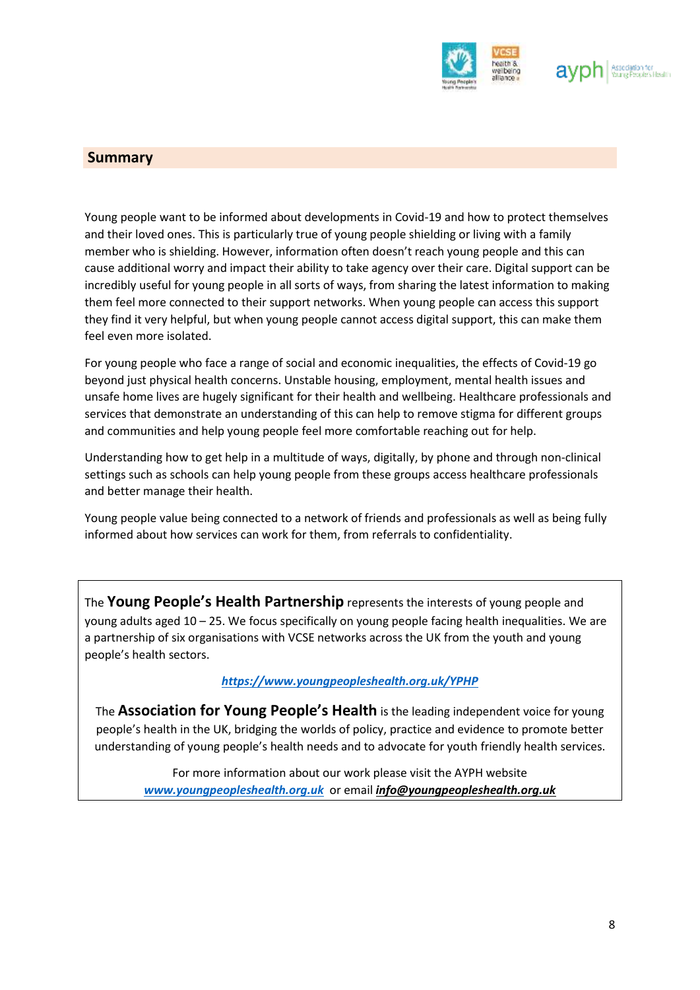

## **Summary**

Young people want to be informed about developments in Covid-19 and how to protect themselves and their loved ones. This is particularly true of young people shielding or living with a family member who is shielding. However, information often doesn't reach young people and this can cause additional worry and impact their ability to take agency over their care. Digital support can be incredibly useful for young people in all sorts of ways, from sharing the latest information to making them feel more connected to their support networks. When young people can access this support they find it very helpful, but when young people cannot access digital support, this can make them feel even more isolated.

For young people who face a range of social and economic inequalities, the effects of Covid-19 go beyond just physical health concerns. Unstable housing, employment, mental health issues and unsafe home lives are hugely significant for their health and wellbeing. Healthcare professionals and services that demonstrate an understanding of this can help to remove stigma for different groups and communities and help young people feel more comfortable reaching out for help.

Understanding how to get help in a multitude of ways, digitally, by phone and through non-clinical settings such as schools can help young people from these groups access healthcare professionals and better manage their health.

Young people value being connected to a network of friends and professionals as well as being fully informed about how services can work for them, from referrals to confidentiality.

The **Young People's Health Partnership** represents the interests of young people and young adults aged 10 – 25. We focus specifically on young people facing health inequalities. We are a partnership of six organisations with VCSE networks across the UK from the youth and young people's health sectors.

#### *<https://www.youngpeopleshealth.org.uk/YPHP>*

The **Association for Young People's Health** is the leading independent voice for young people's health in the UK, bridging the worlds of policy, practice and evidence to promote better understanding of young people's health needs and to advocate for youth friendly health services.

For more information about our work please visit the AYPH website *[www.youngpeopleshealth.org.uk](http://www.youngpeopleshealth.org.uk/)* or email *[info@youngpeopleshealth.org.uk](about:blank)*